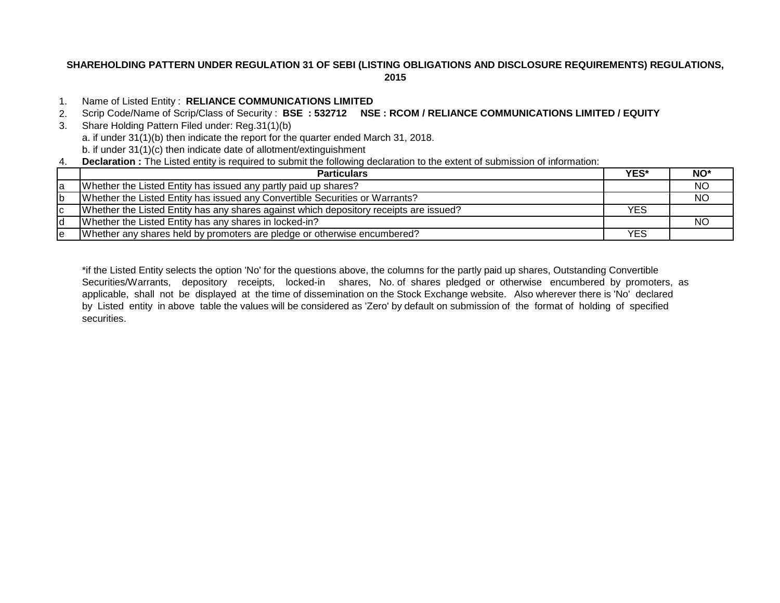# **SHAREHOLDING PATTERN UNDER REGULATION 31 OF SEBI (LISTING OBLIGATIONS AND DISCLOSURE REQUIREMENTS) REGULATIONS, 2015**

## 1. Name of Listed Entity : **RELIANCE COMMUNICATIONS LIMITED**

- 2. Scrip Code/Name of Scrip/Class of Security : **BSE : 532712 NSE : RCOM / RELIANCE COMMUNICATIONS LIMITED / EQUITY**
- 3. Share Holding Pattern Filed under: Reg.31(1)(b) a. if under 31(1)(b) then indicate the report for the quarter ended March 31, 2018. b. if under 31(1)(c) then indicate date of allotment/extinguishment
- 4. **Declaration :** The Listed entity is required to submit the following declaration to the extent of submission of information:

|    | <b>Particulars</b>                                                                     | YES*       | NO*       |
|----|----------------------------------------------------------------------------------------|------------|-----------|
| la | Whether the Listed Entity has issued any partly paid up shares?                        |            | <b>NO</b> |
| Ib | Whether the Listed Entity has issued any Convertible Securities or Warrants?           |            | <b>NO</b> |
| Iс | Whether the Listed Entity has any shares against which depository receipts are issued? | <b>YES</b> |           |
| Id | Whether the Listed Entity has any shares in locked-in?                                 |            | NC.       |
| Iе | Whether any shares held by promoters are pledge or otherwise encumbered?               | YES        |           |

\*if the Listed Entity selects the option 'No' for the questions above, the columns for the partly paid up shares, Outstanding Convertible Securities/Warrants, depository receipts, locked-in shares, No. of shares pledged or otherwise encumbered by promoters, as applicable, shall not be displayed at the time of dissemination on the Stock Exchange website. Also wherever there is 'No' declared by Listed entity in above table the values will be considered as 'Zero' by default on submission of the format of holding of specified securities.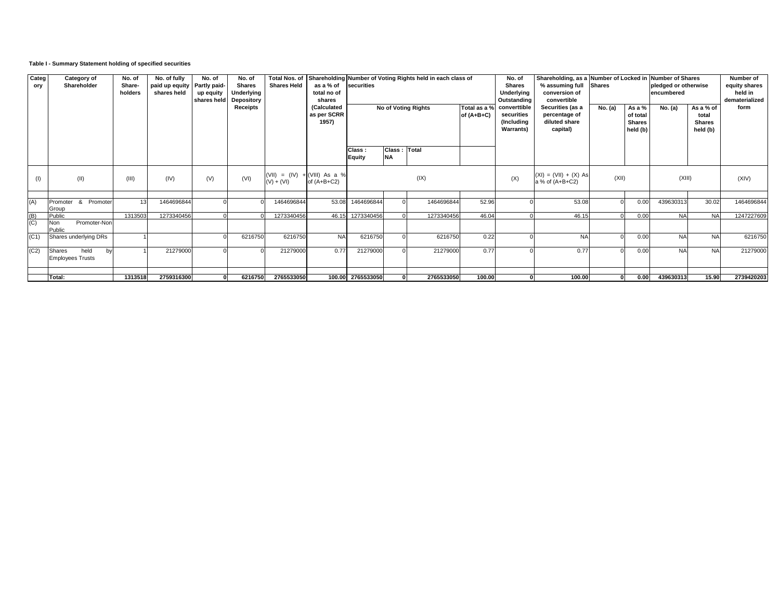### **Table I - Summary Statement holding of specified securities**

| Categ<br>ory      | <b>Category of</b><br>Shareholder               | No. of<br>Share-<br>holders | No. of fully<br>paid up equity<br>shares held | No. of<br>Partly paid-<br>up equity<br>shares held | No. of<br><b>Shares</b><br>Underlying<br>Depository<br>Receipts | <b>Total Nos. of</b><br><b>Shares Held</b>     | as a % of<br>total no of<br>shares<br>(Calculated | securities        |                            | Shareholding Number of Voting Rights held in each class of<br>No of Voting Rights | Total as a % | No. of<br><b>Shares</b><br>Underlying<br>Outstanding<br>converttible | % assuming full<br>conversion of<br>convertible<br>Securities (as a | <b>Shares</b><br>No. (a) | As a %                                  | Shareholding, as a Number of Locked in Number of Shares<br>pledged or otherwise<br>encumbered<br>As a % of<br>No. (a) |                                    | Number of<br>equity shares<br>held in<br>dematerialized<br>form |
|-------------------|-------------------------------------------------|-----------------------------|-----------------------------------------------|----------------------------------------------------|-----------------------------------------------------------------|------------------------------------------------|---------------------------------------------------|-------------------|----------------------------|-----------------------------------------------------------------------------------|--------------|----------------------------------------------------------------------|---------------------------------------------------------------------|--------------------------|-----------------------------------------|-----------------------------------------------------------------------------------------------------------------------|------------------------------------|-----------------------------------------------------------------|
|                   |                                                 |                             |                                               |                                                    |                                                                 |                                                | as per SCRR<br>1957)                              |                   |                            |                                                                                   | of $(A+B+C)$ | securities<br>(Including<br><b>Warrants</b> )                        | percentage of<br>diluted share<br>capital)                          |                          | of total<br><b>Shares</b><br>held $(b)$ |                                                                                                                       | total<br><b>Shares</b><br>held (b) |                                                                 |
|                   |                                                 |                             |                                               |                                                    |                                                                 |                                                |                                                   | Class:<br>Equity  | Class : Total<br><b>NA</b> |                                                                                   |              |                                                                      |                                                                     |                          |                                         |                                                                                                                       |                                    |                                                                 |
| (1)               | (II)                                            | (III)                       | (IV)                                          | (V)                                                | (VI)                                                            | (VII) = $(IV) + (VIII)$ As a %<br>$(V) + (VI)$ | of $(A+B+C2)$                                     |                   |                            | (IX)                                                                              |              | $(XI) = (VII) + (X) As$<br>(X)<br>a % of (A+B+C2)                    |                                                                     | (XII)                    |                                         | (XIII)                                                                                                                |                                    | (XIV)                                                           |
| (A)               | Promoter & Promoter<br>Group                    |                             | 1464696844                                    |                                                    |                                                                 | 1464696844                                     | 53.08                                             | 1464696844        |                            | 1464696844                                                                        | 52.96        |                                                                      | 53.08                                                               |                          | 0.00                                    | 439630313                                                                                                             | 30.02                              | 1464696844                                                      |
| $\frac{(B)}{(C)}$ | Public<br>Promoter-Non<br>Non<br>Public         | 1313503                     | 1273340456                                    |                                                    |                                                                 | 1273340456                                     |                                                   | 46.15 1273340456  |                            | 1273340456                                                                        | 46.04        |                                                                      | 46.15                                                               |                          | 0.00                                    | <b>NA</b>                                                                                                             | <b>NA</b>                          | 1247227609                                                      |
| (C1)              | Shares underlying DRs                           |                             |                                               |                                                    | 6216750                                                         | 6216750                                        | <b>NA</b>                                         | 6216750           |                            | 6216750                                                                           | 0.22         |                                                                      | <b>NA</b>                                                           |                          | 0.00                                    | <b>NA</b>                                                                                                             | <b>NA</b>                          | 6216750                                                         |
| (C2)              | held<br>Shares<br>bv<br><b>Employees Trusts</b> |                             | 21279000                                      |                                                    |                                                                 | 21279000                                       | 0.77                                              | 21279000          |                            | 21279000                                                                          | 0.77         |                                                                      | 0.77                                                                |                          | 0.00                                    | <b>NA</b>                                                                                                             | <b>NA</b>                          | 21279000                                                        |
|                   | Total:                                          | 1313518                     | 2759316300                                    |                                                    | 6216750                                                         | 2765533050                                     |                                                   | 100.00 2765533050 | 0                          | 2765533050                                                                        | 100.00       |                                                                      | 100.00                                                              |                          | 0.00                                    | 439630313                                                                                                             | 15.90                              | 2739420203                                                      |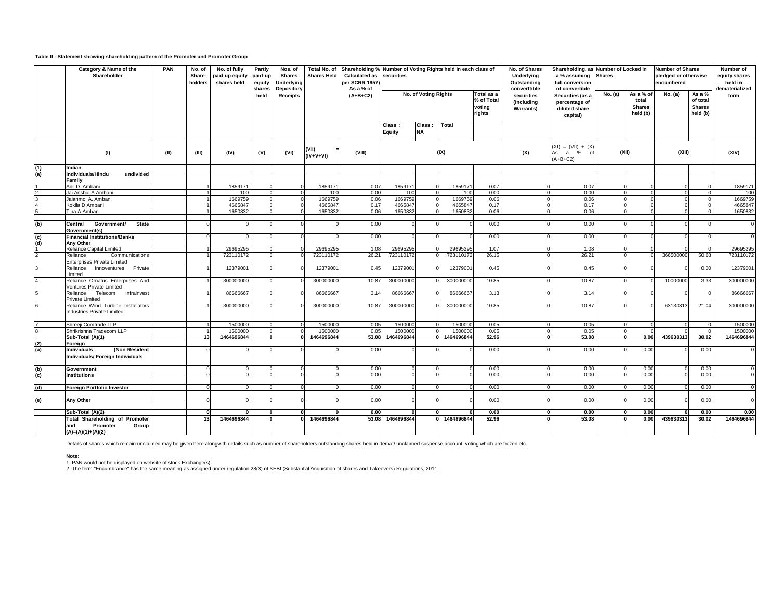#### **Table II - Statement showing shareholding pattern of the Promoter and Promoter Group**

| Category & Name of the<br>Shareholder |                                                                         | PAN  | No. of<br>Share-<br>holders | No. of fully<br>paid up equity<br>shares held | Partly<br>paid-up<br>equity<br>shares | Nos. of<br><b>Shares</b><br>Underlying | <b>Shares Held</b> | Total No. of Shareholding % Number of Voting Rights held in each class of<br><b>Calculated as</b><br>per SCRR 1957)<br>As a % of | securities              |                      |            |                                              | No. of Shares<br>Underlying<br>Outstanding<br>converttible | Shareholding, as Number of Locked in<br>a % assuming<br>full conversion<br>of convertible | <b>Shares</b> |                                                 | <b>Number of Shares</b><br>pledged or otherwise<br>encumbered |                                                 | Number of<br>equity shares<br>held in<br>dematerialized |
|---------------------------------------|-------------------------------------------------------------------------|------|-----------------------------|-----------------------------------------------|---------------------------------------|----------------------------------------|--------------------|----------------------------------------------------------------------------------------------------------------------------------|-------------------------|----------------------|------------|----------------------------------------------|------------------------------------------------------------|-------------------------------------------------------------------------------------------|---------------|-------------------------------------------------|---------------------------------------------------------------|-------------------------------------------------|---------------------------------------------------------|
|                                       |                                                                         |      |                             |                                               | held                                  | Depository<br>Receipts                 |                    | $(A+B+C2)$                                                                                                                       |                         | No. of Voting Rights |            | Total as a<br>% of Total<br>voting<br>rights | securities<br>(Including<br><b>Warrants)</b>               | Securities (as a<br>percentage of<br>diluted share<br>capital)                            | No. (a)       | As a % of<br>total<br><b>Shares</b><br>held (b) | No. (a)                                                       | As a %<br>of total<br><b>Shares</b><br>held (b) | form                                                    |
|                                       |                                                                         |      |                             |                                               |                                       |                                        |                    |                                                                                                                                  | Class:<br><b>Equity</b> | Class:<br><b>NA</b>  | Total      |                                              |                                                            |                                                                                           |               |                                                 |                                                               |                                                 |                                                         |
|                                       | (1)                                                                     | (II) | (III)                       | (IV)                                          | (V)                                   | (VI)                                   | VII)<br>(IV+V+VI)  | (VIII)                                                                                                                           |                         |                      | (IX)       |                                              | (X)                                                        | $(XI) = (VII) + (X)$<br>As a % of<br>$(A+B+C2)$                                           | (XII)         |                                                 | (XIII)                                                        |                                                 | (XIV)                                                   |
| (1)                                   | Indian                                                                  |      |                             |                                               |                                       |                                        |                    |                                                                                                                                  |                         |                      |            |                                              |                                                            |                                                                                           |               |                                                 |                                                               |                                                 |                                                         |
| (a)                                   | Individuals/Hindu<br>undivided                                          |      |                             |                                               |                                       |                                        |                    |                                                                                                                                  |                         |                      |            |                                              |                                                            |                                                                                           |               |                                                 |                                                               |                                                 |                                                         |
|                                       | Family                                                                  |      |                             |                                               |                                       |                                        |                    |                                                                                                                                  |                         |                      |            |                                              | $\Omega$                                                   |                                                                                           |               |                                                 |                                                               |                                                 |                                                         |
|                                       | Anil D. Ambani                                                          |      |                             | 1859171                                       |                                       |                                        | 1859171            | 0.07                                                                                                                             | 1859171                 |                      | 1859171    | 0.07                                         |                                                            | 0.07                                                                                      |               |                                                 |                                                               |                                                 | 1859171                                                 |
|                                       | Jai Anshul A Ambani                                                     |      |                             | 100                                           |                                       |                                        | 100                | 0.00                                                                                                                             | 10 <sup>c</sup>         |                      | 100        | 0.00                                         |                                                            | 0.00                                                                                      |               |                                                 |                                                               |                                                 | 100                                                     |
|                                       | Jaianmol A. Ambani                                                      |      |                             | 1669759                                       |                                       |                                        | 1669759            | 0.06                                                                                                                             | 1669759                 |                      | 1669759    | 0.06                                         |                                                            | 0.06                                                                                      |               |                                                 |                                                               |                                                 | 1669759                                                 |
|                                       | Kokila D Ambani                                                         |      |                             | 4665847                                       |                                       |                                        | 4665847            | 0.17                                                                                                                             | 4665847                 |                      | 4665847    | 0.17                                         |                                                            | 0.17                                                                                      |               |                                                 |                                                               |                                                 | 4665847                                                 |
|                                       | Tina A Ambani                                                           |      |                             | 1650832                                       |                                       |                                        | 1650832            | 0.06                                                                                                                             | 1650832                 |                      | 1650832    | 0.06                                         |                                                            | 0.06                                                                                      |               |                                                 |                                                               |                                                 | 1650832                                                 |
| (b)                                   | <b>State</b><br><b>Government/</b><br>Central                           |      |                             |                                               |                                       |                                        |                    | 0.00                                                                                                                             |                         |                      |            | 0.00                                         |                                                            | 0.00                                                                                      |               |                                                 |                                                               |                                                 | $\mathbf 0$                                             |
| (c)                                   | Government(s)<br><b>Financial Institutions/Banks</b>                    |      |                             |                                               |                                       |                                        |                    | 0.00                                                                                                                             |                         |                      |            | 0.00                                         |                                                            | 0.00                                                                                      |               |                                                 |                                                               |                                                 | $\overline{0}$                                          |
| (d)                                   | Anv Other                                                               |      |                             |                                               |                                       |                                        |                    |                                                                                                                                  |                         |                      |            |                                              |                                                            |                                                                                           |               |                                                 |                                                               |                                                 |                                                         |
|                                       | Reliance Capital Limited                                                |      |                             | 29695295                                      |                                       |                                        | 29695295           | 1.08                                                                                                                             | 2969529                 |                      | 29695295   | 1.07                                         |                                                            | 1.08                                                                                      |               |                                                 |                                                               |                                                 | 29695295                                                |
|                                       |                                                                         |      |                             |                                               |                                       |                                        |                    |                                                                                                                                  |                         |                      |            |                                              |                                                            |                                                                                           |               |                                                 |                                                               |                                                 |                                                         |
|                                       | Communications<br>Reliance<br><b>Enterprises Private Limited</b>        |      |                             | 723110172                                     |                                       |                                        | 723110172          | 26.21                                                                                                                            | 723110172               |                      | 723110172  | 26.15                                        |                                                            | 26.21                                                                                     |               |                                                 | 366500000                                                     | 50.68                                           | 723110172                                               |
|                                       | Reliance<br>Innoventures<br>Private<br>_imited                          |      |                             | 12379001                                      |                                       |                                        | 12379001           | 0.45                                                                                                                             | 1237900                 |                      | 12379001   | 0.45                                         |                                                            | 0.45                                                                                      |               |                                                 |                                                               | 0.00                                            | 12379001                                                |
|                                       | Reliance Ornatus Enterprises And<br>Ventures Private Limited            |      |                             | 300000000                                     |                                       |                                        | 300000000          | 10.87                                                                                                                            | 300000000               |                      | 300000000  | 10.85                                        |                                                            | 10.87                                                                                     |               |                                                 | 10000000                                                      | 3.33                                            | 300000000                                               |
|                                       | Telecom Infrainvest<br>Reliance<br>Private Limited                      |      |                             | 86666667                                      |                                       |                                        | 86666667           | 3.14                                                                                                                             | 86666667                |                      | 86666667   | 3.13                                         |                                                            | 3.14                                                                                      |               |                                                 |                                                               |                                                 | 86666667                                                |
|                                       | Reliance Wind Turbine Installators<br><b>Industries Private Limited</b> |      |                             | 300000000                                     |                                       |                                        | 300000000          | 10.87                                                                                                                            | 300000000               |                      | 300000000  | 10.85                                        |                                                            | 10.87                                                                                     |               |                                                 | 63130313                                                      | 21.04                                           | 300000000                                               |
|                                       | Shreeji Comtrade LLP                                                    |      |                             | 1500000                                       |                                       |                                        | 1500000            | 0.05                                                                                                                             | 1500000                 |                      | 1500000    | 0.05                                         | $\Omega$                                                   | 0.05                                                                                      |               | $\Omega$                                        |                                                               |                                                 | 1500000                                                 |
|                                       | Shrikrishna Tradecom LLP                                                |      |                             | 1500000                                       |                                       |                                        | 1500000            | 0.05                                                                                                                             | 1500000                 |                      | 1500000    | 0.05                                         |                                                            | 0.05                                                                                      |               |                                                 |                                                               |                                                 | 1500000                                                 |
|                                       | Sub-Total (A)(1)                                                        |      | 13                          | 1464696844                                    |                                       |                                        | 1464696844         | 53.08                                                                                                                            | 1464696844              | ΩI                   | 1464696844 | 52.96                                        | n                                                          | 53.08                                                                                     |               | 0.00                                            | 439630313                                                     | 30.02                                           | 1464696844                                              |
| (2)                                   | Foreign                                                                 |      |                             |                                               |                                       |                                        |                    |                                                                                                                                  |                         |                      |            |                                              |                                                            |                                                                                           |               |                                                 |                                                               |                                                 |                                                         |
| (a)                                   | (Non-Resident<br>Individuals<br>Individuals/ Foreign Individuals        |      |                             |                                               |                                       |                                        |                    | 0.00                                                                                                                             |                         |                      |            | 0.00                                         |                                                            | 0.00                                                                                      |               | 0.00                                            |                                                               | 0.00                                            | $\overline{0}$                                          |
| (b)                                   | Government                                                              |      | $\Omega$                    |                                               |                                       |                                        |                    | 0.00                                                                                                                             |                         |                      | $\Omega$   | 0.00                                         |                                                            | 0.00                                                                                      |               | 0.00                                            |                                                               | 0.00                                            | $\Omega$                                                |
| (c)                                   | <b>Institutions</b>                                                     |      | $\Omega$                    |                                               |                                       | $\Omega$                               |                    | 0.00                                                                                                                             |                         |                      | $\Omega$   | 0.00                                         |                                                            | 0.00                                                                                      |               | 0.00                                            |                                                               | 0.00                                            | $\Omega$                                                |
|                                       |                                                                         |      |                             |                                               |                                       |                                        |                    |                                                                                                                                  |                         |                      |            |                                              |                                                            |                                                                                           |               |                                                 |                                                               |                                                 |                                                         |
| (d)                                   | Foreign Portfolio Investor                                              |      |                             |                                               |                                       |                                        |                    | 0.00                                                                                                                             |                         |                      |            | 0.00                                         |                                                            | 0.00                                                                                      |               | 0.00                                            |                                                               | 0.00                                            |                                                         |
|                                       |                                                                         |      |                             |                                               |                                       |                                        |                    |                                                                                                                                  |                         |                      |            |                                              |                                                            |                                                                                           |               |                                                 |                                                               |                                                 |                                                         |
|                                       | Any Other                                                               |      |                             |                                               |                                       |                                        |                    | 0.00                                                                                                                             |                         |                      |            | 0.00                                         |                                                            | 0.00                                                                                      |               | 0.00                                            |                                                               | 0.00                                            | $\mathbf{C}$                                            |
|                                       |                                                                         |      |                             |                                               |                                       |                                        |                    |                                                                                                                                  |                         |                      |            |                                              |                                                            |                                                                                           |               |                                                 |                                                               |                                                 |                                                         |
|                                       | Sub-Total (A)(2)                                                        |      |                             |                                               |                                       |                                        |                    | 0.00                                                                                                                             |                         |                      |            | 0.00                                         |                                                            | 0.00                                                                                      |               | 0.00                                            |                                                               | 0.00                                            | 0.00                                                    |
|                                       | <b>Total Shareholding of Promoter</b>                                   |      | 13                          | 1464696844                                    |                                       |                                        | 1464696844         | 53.08                                                                                                                            | 1464696844              |                      | 1464696844 | 52.96                                        |                                                            | 53.08                                                                                     |               | 0.00                                            | 439630313                                                     | 30.02                                           | 1464696844                                              |
|                                       | Promoter<br>Group<br>and<br>$(A)=(A)(1)+(A)(2)$                         |      |                             |                                               |                                       |                                        |                    |                                                                                                                                  |                         |                      |            |                                              |                                                            |                                                                                           |               |                                                 |                                                               |                                                 |                                                         |

Details of shares which remain unclaimed may be given here alongwith details such as number of shareholders outstanding shares held in demat/ unclaimed suspense account, voting which are frozen etc.

**Note:**

1. PAN would not be displayed on website of stock Exchange(s).<br>2. The term "Encumbrance" has the same meaning as assigned under regulation 28(3) of SEBI (Substantial Acquisition of shares and Takeovers) Regulations, 2011.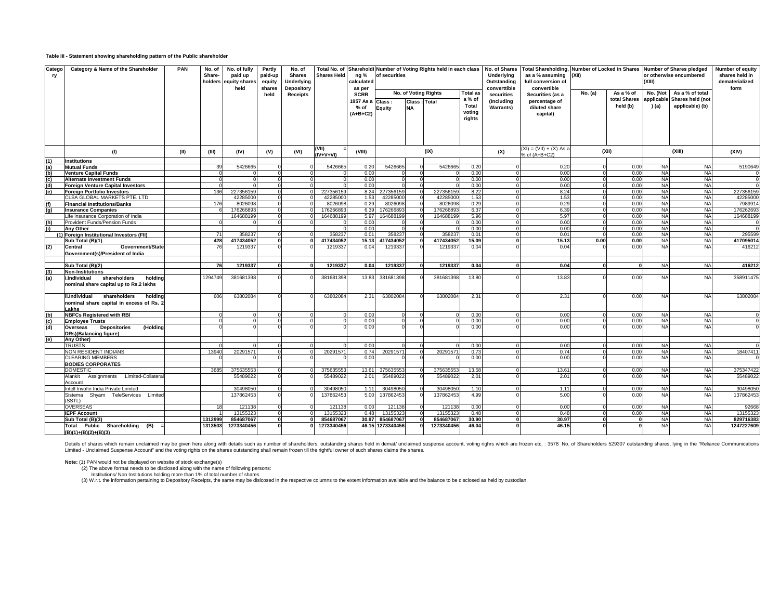#### **Table III - Statement showing shareholding pattern of the Public shareholder**

| Catego<br>ry | Category & Name of the Shareholder                                                            | <b>PAN</b> | No. of<br>Share- | No. of fully<br>paid up<br>holders equity shares<br>held | Partly<br>paid-up<br>equity<br>shares | No. of<br><b>Shares</b><br>Underlying | Total No. of<br><b>Shares Held</b> | ng %<br>calculated    | of securities                                                                                 |          | Shareholdi Number of Voting Rights held in each class |                           | No. of Shares<br>Underlying<br>Outstanding<br>converttible | Total Shareholding, Number of Locked in Shares Number of Shares pledged<br>as a % assuming<br>full conversion of<br>convertible | (XII)   |                           | (XIII)                 | or otherwise encumbered             | Number of equity<br>shares held in<br>dematerialized<br>form |
|--------------|-----------------------------------------------------------------------------------------------|------------|------------------|----------------------------------------------------------|---------------------------------------|---------------------------------------|------------------------------------|-----------------------|-----------------------------------------------------------------------------------------------|----------|-------------------------------------------------------|---------------------------|------------------------------------------------------------|---------------------------------------------------------------------------------------------------------------------------------|---------|---------------------------|------------------------|-------------------------------------|--------------------------------------------------------------|
|              |                                                                                               |            |                  |                                                          | held                                  | <b>Depository</b><br><b>Receipts</b>  |                                    | as per<br><b>SCRR</b> | No. of Voting Rights<br><b>Total as</b><br>a % of<br>1957 As a Class :<br><b>Class: Total</b> |          |                                                       |                           | securities<br>(Including                                   | Securities (as a<br>percentage of                                                                                               | No. (a) | As a % of<br>total Shares | No. (Not<br>applicable | As a % of total<br>Shares held (not |                                                              |
|              |                                                                                               |            |                  |                                                          |                                       |                                       |                                    | % of<br>$(A+B+C2)$    | Equity                                                                                        |          |                                                       | Total<br>voting<br>rights | <b>Warrants)</b>                                           | diluted share<br>capital)                                                                                                       |         | held (b)                  | ) (a)                  | applicable) (b)                     |                                                              |
|              |                                                                                               |            |                  |                                                          |                                       |                                       |                                    |                       |                                                                                               |          |                                                       |                           |                                                            |                                                                                                                                 |         |                           |                        |                                     |                                                              |
|              | (1)                                                                                           | (II)       | (III)            | (IV)                                                     | (V)                                   | (VI)                                  | (VII)<br>(IV+V+VI)                 | (VIII)                |                                                                                               |          | (IX)                                                  |                           | (X)                                                        | $(XI) = (VII) + (X) As a$<br>% of (A+B+C2)                                                                                      |         | (XII)                     |                        | (XIII)                              | (XIV)                                                        |
| (1)          | <b>Institutions</b>                                                                           |            |                  |                                                          |                                       |                                       |                                    |                       |                                                                                               |          |                                                       |                           |                                                            |                                                                                                                                 |         |                           |                        |                                     |                                                              |
| (a)          | <b>Mutual Funds</b>                                                                           |            | 39               | 542666                                                   |                                       |                                       | 542666                             | 0.20                  | 5426665                                                                                       |          | 5426665                                               | 0.20                      |                                                            | 0.20                                                                                                                            |         | 0.00                      | <b>NA</b>              | <b>NA</b>                           | 5190649                                                      |
| (b)          | <b>Venture Capital Funds</b>                                                                  |            |                  |                                                          |                                       |                                       |                                    | 0.00                  |                                                                                               | $\Omega$ |                                                       | 0.00                      |                                                            | 0.00                                                                                                                            |         | 0.00                      | <b>NA</b>              | <b>NA</b>                           |                                                              |
| (c)          | <b>Alternate Investment Funds</b>                                                             |            | $\Omega$         |                                                          | $\Omega$                              |                                       |                                    | 0.00                  | $\Omega$                                                                                      | $\Omega$ |                                                       | 0.00                      |                                                            | 0.00                                                                                                                            |         | 0.00                      | <b>NA</b>              | <b>NA</b>                           |                                                              |
| (d)          | <b>Foreign Venture Capital Investors</b>                                                      |            | $\Omega$         |                                                          |                                       |                                       |                                    | 0.00                  |                                                                                               |          |                                                       | 0.00                      |                                                            | 0.00                                                                                                                            |         | 0.00                      | <b>NA</b>              | <b>NA</b>                           |                                                              |
| (e)          | <b>Foreign Portfolio Investors</b>                                                            |            | 136              | 22735615                                                 | $\Omega$                              |                                       | 227356159                          | 8.24                  | 227356159                                                                                     |          | 227356159                                             | 8.22                      |                                                            | 8.24                                                                                                                            |         | 0.00                      | <b>NA</b>              | <b>NA</b>                           | 227356159                                                    |
|              | CLSA GLOBAL MARKETS PTE. LTD.                                                                 |            |                  | 42285000                                                 | $\Omega$                              |                                       | 42285000                           | 1.53                  | 42285000                                                                                      |          | 42285000                                              | 1.53                      |                                                            | 1.53                                                                                                                            |         | 0.00                      | <b>NA</b>              | <b>NA</b><br><b>NA</b>              | 4228500                                                      |
| (f)<br>(q)   | <b>Financial Institutions/Banks</b>                                                           |            | 176              | 8026098<br>17626689                                      | $\overline{0}$<br>$\Omega$            |                                       | 8026098<br>17626689                | 0.29<br>6.39          | 802609<br>17626689                                                                            |          | 802609<br>17626689                                    | 0.29<br>6.37              |                                                            | 0.29<br>6.39                                                                                                                    |         | 0.00<br>0.00              | <b>NA</b><br><b>NA</b> | <b>NA</b>                           | 798991<br>17626269                                           |
|              | <b>Insurance Companies</b><br>Life Insurance Corporation of India                             |            |                  | 164688199                                                | $\Omega$                              |                                       | 164688199                          | 5.97                  | 164688199                                                                                     |          | 164688199                                             | 5.96                      |                                                            | 5.97                                                                                                                            |         | 0.00                      | <b>NA</b>              | <b>NA</b>                           | 164688199                                                    |
| (h)          | Provident Funds/Pension Funds                                                                 |            |                  |                                                          |                                       |                                       |                                    | 0.00                  |                                                                                               |          |                                                       | 0.00                      |                                                            | 0.00                                                                                                                            |         | 0.00                      | <b>NA</b>              | <b>NA</b>                           |                                                              |
| (i)          | Any Other                                                                                     |            |                  |                                                          |                                       |                                       |                                    | 0.00                  |                                                                                               |          |                                                       | 0.00                      |                                                            | 0.00                                                                                                                            |         | 0.00                      | <b>NA</b>              | <b>NA</b>                           |                                                              |
|              | (1) Foreign Institutional Investors (FII)                                                     |            | 71               | 35823                                                    |                                       |                                       | 35823                              | 0.01                  | 35823                                                                                         |          | 35823                                                 | 0.01                      |                                                            | 0.01                                                                                                                            |         | 0.00                      | <b>NA</b>              | <b>NA</b>                           | 295599                                                       |
|              | Sub Total (B)(1)                                                                              |            | 428              | 417434052                                                | $\Omega$                              |                                       | 417434052                          | 15.13                 | 417434052                                                                                     |          | 417434052                                             | 15.09                     |                                                            | 15.13                                                                                                                           | 0.00    | 0.00                      | <b>NA</b>              | <b>NA</b>                           | 417095014                                                    |
| (2)          | Government/State<br>Central                                                                   |            | 76               | 121933                                                   |                                       |                                       | 1219337                            | 0.04                  | 121933                                                                                        |          | 1219337                                               | 0.04                      |                                                            | 0.04                                                                                                                            |         | 0.00                      | <b>NA</b>              | <b>NA</b>                           | 416212                                                       |
|              | Government(s)/President of India                                                              |            |                  |                                                          |                                       |                                       |                                    |                       |                                                                                               |          |                                                       |                           |                                                            |                                                                                                                                 |         |                           |                        |                                     |                                                              |
|              | Sub Total (B)(2)                                                                              |            | 76               | 1219337                                                  | $\mathbf{o}$                          |                                       | 1219337                            | 0.04                  | 1219337                                                                                       | $\Omega$ | 1219337                                               | 0.04                      |                                                            | 0.04                                                                                                                            |         |                           | <b>NA</b>              | <b>NA</b>                           | 416212                                                       |
| (3)          | <b>Non-Institutions</b>                                                                       |            |                  |                                                          |                                       |                                       |                                    |                       |                                                                                               |          |                                                       |                           |                                                            |                                                                                                                                 |         |                           |                        |                                     |                                                              |
| (a)          | i.Individual<br>shareholders<br>holdina<br>nominal share capital up to Rs.2 lakhs             |            | 1294749          | 381681398                                                |                                       |                                       | 381681398                          | 13.83                 | 381681398                                                                                     |          | 381681398                                             | 13.80                     |                                                            | 13.83                                                                                                                           |         | 0.00                      | <b>NA</b>              | <b>NA</b>                           | 358911475                                                    |
|              | shareholders<br>ii.Individual<br>holding<br>nominal share capital in excess of Rs. 2<br>Lakhs |            | 606              | 63802084                                                 |                                       |                                       | 63802084                           | 2.31                  | 63802084                                                                                      |          | 63802084                                              | 2.31                      |                                                            | 2.31                                                                                                                            |         | 0.00                      | <b>NA</b>              | <b>NA</b>                           | 63802084                                                     |
| (b)          | <b>NBFCs Registered with RBI</b>                                                              |            |                  |                                                          |                                       |                                       |                                    | 0.00                  |                                                                                               |          | $\Omega$                                              | 0.00                      |                                                            | 0.00                                                                                                                            |         | 0.00                      | <b>NA</b>              | <b>NA</b>                           |                                                              |
| (c)          | <b>Employee Trusts</b>                                                                        |            | $\Omega$         |                                                          | $\Omega$                              |                                       |                                    | 0.00                  | $\Omega$                                                                                      |          | $\Omega$                                              | 0.00                      |                                                            | 0.00                                                                                                                            |         | 0.00                      | <b>NA</b>              | <b>NA</b>                           |                                                              |
| (d)          | (Holding<br><b>Depositories</b><br>Overseas                                                   |            |                  |                                                          |                                       |                                       |                                    | 0.00                  |                                                                                               |          |                                                       | 0.00                      |                                                            | 0.00                                                                                                                            |         | 0.00                      | <b>NA</b>              | <b>NA</b>                           |                                                              |
| (e)          | DRs)(Balancing figure)<br>Anv Other)                                                          |            |                  |                                                          |                                       |                                       |                                    |                       |                                                                                               |          |                                                       |                           |                                                            |                                                                                                                                 |         |                           |                        |                                     |                                                              |
|              | <b>TRUSTS</b>                                                                                 |            |                  |                                                          |                                       |                                       |                                    | 0.00                  |                                                                                               |          |                                                       | 0.00                      |                                                            | 0.00                                                                                                                            |         | 0.00                      | <b>NA</b>              | <b>NA</b>                           |                                                              |
|              | <b>NON RESIDENT INDIANS</b>                                                                   |            | 13940            | 20291571                                                 | $\Omega$                              |                                       | 20291571                           | 0.74                  | 20291571                                                                                      |          | 20291571                                              | 0.73                      |                                                            | 0.74                                                                                                                            |         | 0.00                      | <b>NA</b>              | <b>NA</b>                           | 18407411                                                     |
|              | <b>CLEARING MEMBERS</b>                                                                       |            |                  |                                                          |                                       |                                       |                                    | 0.00                  |                                                                                               |          |                                                       | 0.00                      |                                                            | 0.00                                                                                                                            |         | 0.00                      | <b>NA</b>              | <b>NA</b>                           |                                                              |
|              | <b>BODIES CORPORATES</b>                                                                      |            |                  |                                                          |                                       |                                       |                                    |                       |                                                                                               |          |                                                       |                           |                                                            |                                                                                                                                 |         |                           |                        |                                     |                                                              |
|              | <b>DOMESTIC</b>                                                                               |            | 3685             | 375635553                                                |                                       |                                       | 37563555                           | 13.61                 | 37563555                                                                                      |          | 37563555                                              | 13.58                     |                                                            | 13.61                                                                                                                           |         | 0.00                      | <b>NA</b>              | <b>NA</b>                           | 375347422                                                    |
|              | Assignments Limited-Collatera<br>Alankit                                                      |            |                  | 55489022                                                 |                                       |                                       | 55489022                           | 2.01                  | 5548902                                                                                       |          | 5548902                                               | 2.01                      |                                                            | 2.01                                                                                                                            |         | 0.00                      | <b>NA</b>              | <b>NA</b>                           | 5548902                                                      |
|              | Account                                                                                       |            |                  |                                                          |                                       |                                       |                                    |                       |                                                                                               |          |                                                       |                           |                                                            |                                                                                                                                 |         |                           |                        |                                     |                                                              |
|              | Intell Invofin India Private Limited                                                          |            |                  | 30498050                                                 |                                       |                                       | 30498050                           | 1.11                  | 30498050                                                                                      |          | 30498050                                              | 1.10                      |                                                            | 1.11                                                                                                                            |         | 0.00                      | <b>NA</b>              | <b>NA</b>                           | 30498050                                                     |
|              | Shyam TeleServices Limited<br>Sistema<br>(SSTL)                                               |            |                  | 137862453                                                |                                       |                                       | 137862453                          | 5.00                  | 137862453                                                                                     |          | 137862453                                             | 4.99                      |                                                            | 5.00                                                                                                                            |         | 0.00                      | <b>NA</b>              | <b>NA</b>                           | 137862453                                                    |
|              | <b>OVERSEAS</b>                                                                               |            | 18               | 121138                                                   |                                       |                                       | 121138                             | 0.00                  | 121138                                                                                        | $\Omega$ | 121138                                                | 0.00                      |                                                            | 0.00                                                                                                                            |         | 0.00                      | <b>NA</b>              | <b>NA</b>                           | 92668                                                        |
|              | <b>IEPF Account</b>                                                                           |            |                  | 1315532                                                  | $\overline{0}$                        |                                       | 1315532                            | 0.48                  | 1315532                                                                                       | $\Omega$ | 1315532                                               | 0.48                      |                                                            | 0.48                                                                                                                            |         | 0.00                      | <b>NA</b>              | <b>NA</b>                           | 1315532                                                      |
|              | Sub Total (B)(3)                                                                              |            | 1312999          | 854687067                                                | $\mathbf{0}$                          |                                       | 854687067                          | 30.97                 | 854687067                                                                                     |          | 854687067                                             | 30.90                     |                                                            | 30.97                                                                                                                           |         |                           | <b>NA</b>              | <b>NA</b>                           | 829716383                                                    |
|              | Total Public Shareholding (B)                                                                 |            | 1313503          | 1273340456                                               |                                       |                                       | 1273340456                         |                       | 46.15 1273340456                                                                              |          | 1273340456                                            | 46.04                     |                                                            | 46.15                                                                                                                           |         |                           | <b>NA</b>              | <b>NA</b>                           | 1247227609                                                   |
|              | $(B)(1)+(B)(2)+(B)(3)$                                                                        |            |                  |                                                          |                                       |                                       |                                    |                       |                                                                                               |          |                                                       |                           |                                                            |                                                                                                                                 |         |                           |                        |                                     |                                                              |

Details of shares which remain unclaimed may be given here along with details such as number of shareholders, outstanding shares held in demat/ unclaimed suspense account, voting rights which are frozen etc. : 3578 No. of

**Note:** (1) PAN would not be displayed on website of stock exchange(s)

(2) The above format needs to be disclosed along with the name of following persons:<br>Institutions/ Non Institutions holding more than 1% of total number of shares<br>(3) W.r.t. the information pertaining to Depository Receipt